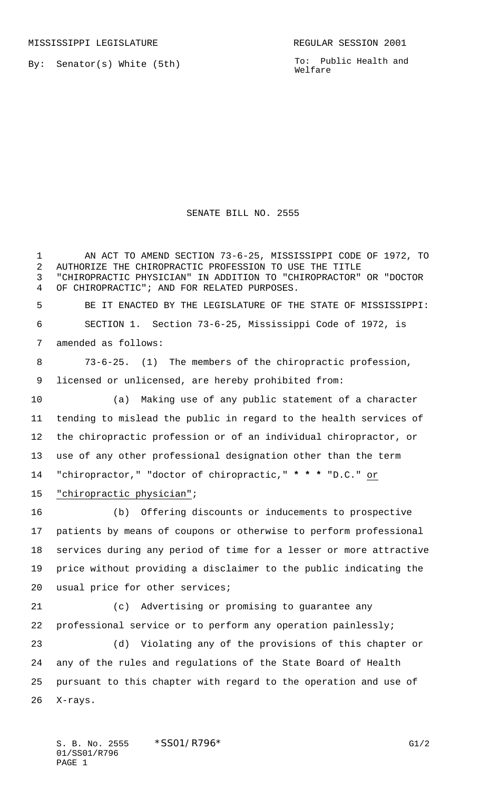MISSISSIPPI LEGISLATURE **REGULAR SESSION 2001** 

By: Senator(s) White (5th)

To: Public Health and Welfare

## SENATE BILL NO. 2555

 AN ACT TO AMEND SECTION 73-6-25, MISSISSIPPI CODE OF 1972, TO AUTHORIZE THE CHIROPRACTIC PROFESSION TO USE THE TITLE "CHIROPRACTIC PHYSICIAN" IN ADDITION TO "CHIROPRACTOR" OR "DOCTOR OF CHIROPRACTIC"; AND FOR RELATED PURPOSES. BE IT ENACTED BY THE LEGISLATURE OF THE STATE OF MISSISSIPPI: SECTION 1. Section 73-6-25, Mississippi Code of 1972, is amended as follows: 73-6-25. (1) The members of the chiropractic profession, licensed or unlicensed, are hereby prohibited from: (a) Making use of any public statement of a character tending to mislead the public in regard to the health services of the chiropractic profession or of an individual chiropractor, or use of any other professional designation other than the term "chiropractor," "doctor of chiropractic," **\* \* \*** "D.C." or "chiropractic physician"; (b) Offering discounts or inducements to prospective patients by means of coupons or otherwise to perform professional services during any period of time for a lesser or more attractive price without providing a disclaimer to the public indicating the usual price for other services; (c) Advertising or promising to guarantee any professional service or to perform any operation painlessly; (d) Violating any of the provisions of this chapter or any of the rules and regulations of the State Board of Health pursuant to this chapter with regard to the operation and use of X-rays.